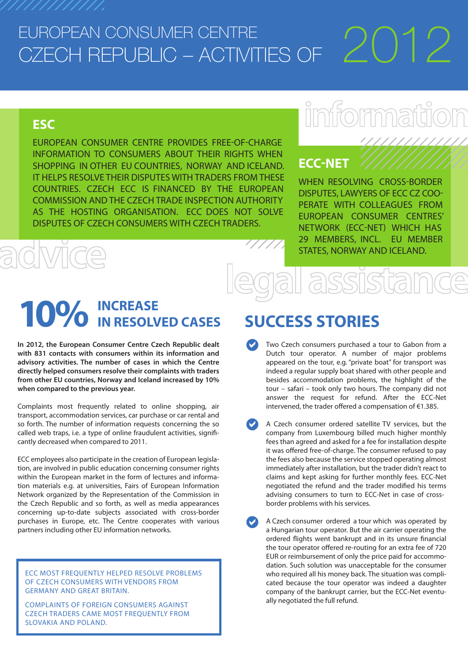# EUROPEAN CONSUMER CENTRE CZECH REPUBLIC – ACTIVITIES OF  $\angle$  ( )  $^{-}$

### **ESC**

EUROPEAN CONSUMER CENTRE PROVIDES FREE-OF-CHARGE INFORMATION TO CONSUMERS ABOUT THEIR RIGHTS WHEN SHOPPING IN OTHER EU COUNTRIES, NORWAY AND ICELAND. IT HELPS RESOLVE THEIR DISPUTES WITH TRADERS FROM THESE COUNTRIES. CZECH ECC IS FINANCED BY THE EUROPEAN COMMISSION AND THE CZECH TRADE INSPECTION AUTHORITY AS THE HOSTING ORGANISATION. ECC DOES NOT SOLVE DISPUTES OF CZECH CONSUMERS WITH CZECH TRADERS.

# imformat

////////////

### **ECC-NET**

WHEN RESOLVING CROSS-BORDER DISPUTES, LAWYERS OF ECC CZ COO-PERATE WITH COLLEAGUES FROM EUROPEAN CONSUMER CENTRES' NETWORK (ECC-NET) WHICH HAS 29 MEMBERS, INCL. EU MEMBER STATES, NORWAY AND ICELAND.

# **INCREASE 10% IN RESOLVED CASES**

**In 2012, the European Consumer Centre Czech Republic dealt with 831 contacts with consumers within its information and advisory activities. The number of cases in which the Centre directly helped consumers resolve their complaints with traders from other EU countries, Norway and Iceland increased by 10% when compared to the previous year.** 

Complaints most frequently related to online shopping, air transport, accommodation services, car purchase or car rental and so forth. The number of information requests concerning the so called web traps, i.e. a type of online fraudulent activities, significantly decreased when compared to 2011.

ECC employees also participate in the creation of European legislation, are involved in public education concerning consumer rights within the European market in the form of lectures and information materials e.g. at universities, Fairs of European Information Network organized by the Representation of the Commission in the Czech Republic and so forth, as well as media appearances concerning up-to-date subjects associated with cross-border purchases in Europe, etc. The Centre cooperates with various partners including other EU information networks.

ECC MOST FREQUENTLY HELPED RESOLVE PROBLEMS OF CZECH CONSUMERS WITH VENDORS FROM GERMANY AND GREAT BRITAIN.

COMPLAINTS OF FOREIGN CONSUMERS AGAINST CZECH TRADERS CAME MOST FREQUENTLY FROM SLOVAKIA AND POLAND.

# **SUCCESS STORIES**

- Two Czech consumers purchased a tour to Gabon from a Dutch tour operator. A number of major problems appeared on the tour, e.g. "private boat" for transport was indeed a regular supply boat shared with other people and besides accommodation problems, the highlight of the tour – safari – took only two hours. The company did not answer the request for refund. After the ECC-Net intervened, the trader offered a compensation of  $E$ 1.385.  $\bullet$
- A Czech consumer ordered satellite TV services, but the company from Luxembourg billed much higher monthly fees than agreed and asked for a fee for installation despite it was offered free-of-charge. The consumer refused to pay the fees also because the service stopped operating almost immediately after installation, but the trader didn't react to claims and kept asking for further monthly fees. ECC-Net negotiated the refund and the trader modified his terms advising consumers to turn to ECC-Net in case of crossborder problems with his services.  $\bullet$
- A Czech consumer ordered a tour which was operated by a Hungarian tour operator. But the air carrier operating the ordered flights went bankrupt and in its unsure financial the tour operator offered re-routing for an extra fee of 720 EUR or reimbursement of only the price paid for accommodation. Such solution was unacceptable for the consumer who required all his money back. The situation was complicated because the tour operator was indeed a daughter company of the bankrupt carrier, but the ECC-Net eventually negotiated the full refund.  $\bullet$